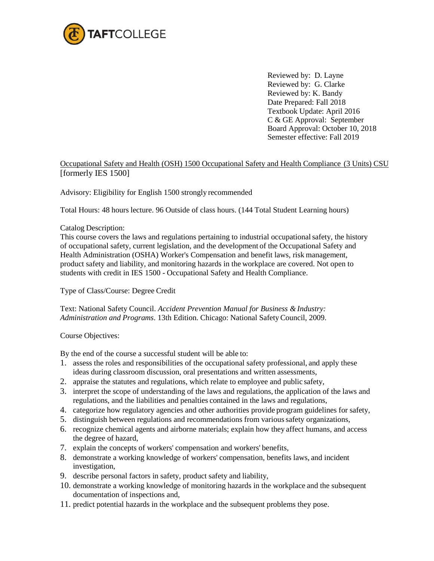

Reviewed by: D. Layne Reviewed by: G. Clarke Reviewed by: K. Bandy Date Prepared: Fall 2018 Textbook Update: April 2016 C & GE Approval: September Board Approval: October 10, 2018 Semester effective: Fall 2019

## Occupational Safety and Health (OSH) 1500 Occupational Safety and Health Compliance (3 Units) CSU [formerly IES 1500]

Advisory: Eligibility for English 1500 strongly recommended

Total Hours: 48 hours lecture. 96 Outside of class hours. (144 Total Student Learning hours)

#### Catalog Description:

This course covers the laws and regulations pertaining to industrial occupationalsafety, the history of occupational safety, current legislation, and the development of the Occupational Safety and Health Administration (OSHA) Worker's Compensation and benefit laws, risk management, product safety and liability, and monitoring hazards in the workplace are covered. Not open to students with credit in IES 1500 - Occupational Safety and Health Compliance.

#### Type of Class/Course: Degree Credit

Text: National Safety Council. *Accident Prevention Manual for Business &Industry: Administration and Programs*. 13th Edition. Chicago: National SafetyCouncil, 2009.

#### Course Objectives:

By the end of the course a successful student will be able to:

- 1. assess the roles and responsibilities of the occupational safety professional, and apply these ideas during classroom discussion, oral presentations and written assessments,
- 2. appraise the statutes and regulations, which relate to employee and public safety,
- 3. interpret the scope of understanding of the laws and regulations, the application of the laws and regulations, and the liabilities and penalties contained in the laws and regulations,
- 4. categorize how regulatory agencies and other authorities provide program guidelines for safety,
- 5. distinguish between regulations and recommendations from varioussafety organizations,
- 6. recognize chemical agents and airborne materials; explain how they affect humans, and access the degree of hazard,
- 7. explain the concepts of workers' compensation and workers' benefits,
- 8. demonstrate a working knowledge of workers' compensation, benefits laws, and incident investigation,
- 9. describe personal factors in safety, product safety and liability,
- 10. demonstrate a working knowledge of monitoring hazards in the workplace and the subsequent documentation of inspections and,
- 11. predict potential hazards in the workplace and the subsequent problems they pose.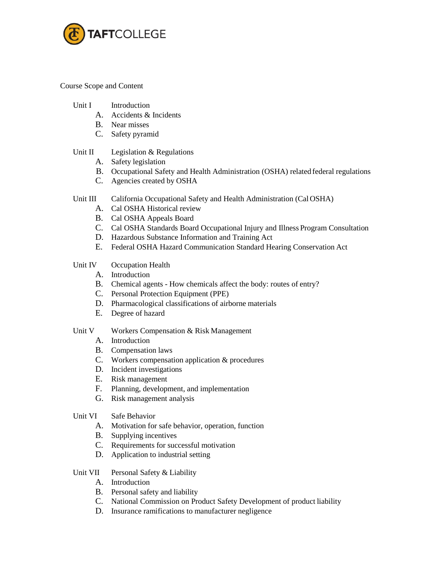

Course Scope and Content

- Unit I Introduction
	- A. Accidents & Incidents
	- B. Near misses
	- C. Safety pyramid

## Unit II Legislation & Regulations

- A. Safety legislation
- B. Occupational Safety and Health Administration (OSHA) related federal regulations
- C. Agencies created by OSHA

## Unit III California Occupational Safety and Health Administration (Cal OSHA)

- A. Cal OSHA Historical review
- B. Cal OSHA Appeals Board
- C. Cal OSHA Standards Board Occupational Injury and Illness Program Consultation
- D. Hazardous Substance Information and Training Act
- E. Federal OSHA Hazard Communication Standard Hearing Conservation Act

# Unit IV Occupation Health

- A. Introduction
- B. Chemical agents How chemicals affect the body: routes of entry?
- C. Personal Protection Equipment (PPE)
- D. Pharmacological classifications of airborne materials
- E. Degree of hazard

## Unit V Workers Compensation & Risk Management

- A. Introduction
- B. Compensation laws
- C. Workers compensation application & procedures
- D. Incident investigations
- E. Risk management
- F. Planning, development, and implementation
- G. Risk management analysis

## Unit VI Safe Behavior

- A. Motivation for safe behavior, operation, function
- B. Supplying incentives
- C. Requirements for successful motivation
- D. Application to industrial setting

## Unit VII Personal Safety & Liability

- A. Introduction
- B. Personal safety and liability
- C. National Commission on Product Safety Development of product liability
- D. Insurance ramifications to manufacturer negligence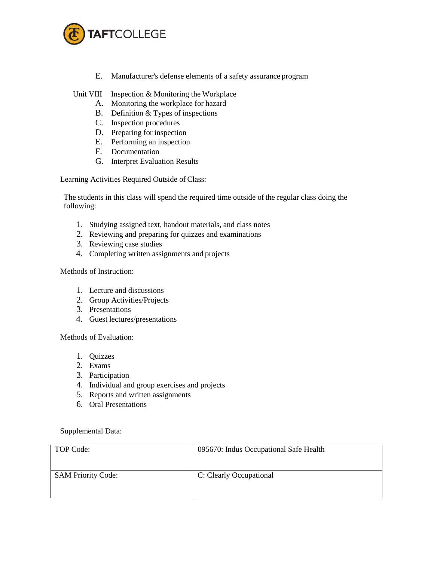

E. Manufacturer's defense elements of a safety assurance program

Unit VIII Inspection & Monitoring the Workplace

- A. Monitoring the workplace for hazard
- B. Definition & Types of inspections
- C. Inspection procedures
- D. Preparing for inspection
- E. Performing an inspection
- F. Documentation
- G. Interpret Evaluation Results

Learning Activities Required Outside of Class:

The students in this class will spend the required time outside of the regular class doing the following:

- 1. Studying assigned text, handout materials, and class notes
- 2. Reviewing and preparing for quizzes and examinations
- 3. Reviewing case studies
- 4. Completing written assignments and projects

Methods of Instruction:

- 1. Lecture and discussions
- 2. Group Activities/Projects
- 3. Presentations
- 4. Guest lectures/presentations

Methods of Evaluation:

- 1. Quizzes
- 2. Exams
- 3. Participation
- 4. Individual and group exercises and projects
- 5. Reports and written assignments
- 6. Oral Presentations

Supplemental Data:

| TOP Code:                 | 095670: Indus Occupational Safe Health |
|---------------------------|----------------------------------------|
| <b>SAM Priority Code:</b> | C: Clearly Occupational                |
|                           |                                        |